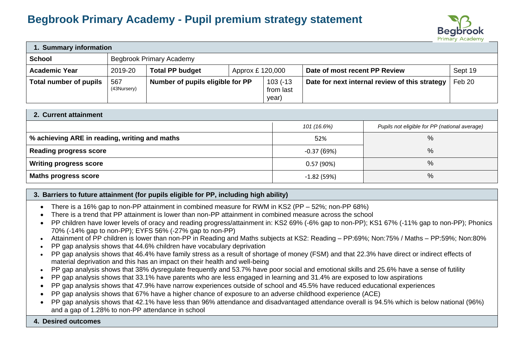# **Begbrook Primary Academy - Pupil premium strategy statement**



| 1. Summary information |                          |                                  |                  |                                  |                                                |         |  |  |
|------------------------|--------------------------|----------------------------------|------------------|----------------------------------|------------------------------------------------|---------|--|--|
| School                 | Begbrook Primary Academy |                                  |                  |                                  |                                                |         |  |  |
| <b>Academic Year</b>   | 2019-20                  | <b>Total PP budget</b>           | Approx £ 120,000 |                                  | Date of most recent PP Review                  | Sept 19 |  |  |
| Total number of pupils | 567<br>(43Nursery)       | Number of pupils eligible for PP |                  | $103(-13)$<br>from last<br>year) | Date for next internal review of this strategy | Feb 20  |  |  |

| 2. Current attainment                         |              |                                               |  |  |  |
|-----------------------------------------------|--------------|-----------------------------------------------|--|--|--|
|                                               | 101 (16.6%)  | Pupils not eligible for PP (national average) |  |  |  |
| % achieving ARE in reading, writing and maths | 52%          | %                                             |  |  |  |
| <b>Reading progress score</b>                 | $-0.37(69%)$ | %                                             |  |  |  |
| <b>Writing progress score</b>                 | 0.57(90%)    | %                                             |  |  |  |
| <b>Maths progress score</b>                   | $-1.82(59%)$ | %                                             |  |  |  |

#### **3. Barriers to future attainment (for pupils eligible for PP, including high ability)**

- There is a 16% gap to non-PP attainment in combined measure for RWM in KS2 (PP 52%; non-PP 68%)
- There is a trend that PP attainment is lower than non-PP attainment in combined measure across the school
- PP children have lower levels of oracy and reading progress/attainment in: KS2 69% (-6% gap to non-PP); KS1 67% (-11% gap to non-PP); Phonics 70% (-14% gap to non-PP); EYFS 56% (-27% gap to non-PP)
- Attainment of PP children is lower than non-PP in Reading and Maths subjects at KS2: Reading PP:69%; Non:75% / Maths PP:59%; Non:80%
- PP gap analysis shows that 44.6% children have vocabulary deprivation
- PP gap analysis shows that 46.4% have family stress as a result of shortage of money (FSM) and that 22.3% have direct or indirect effects of material deprivation and this has an impact on their health and well-being
- PP gap analysis shows that 38% dysregulate frequently and 53.7% have poor social and emotional skills and 25.6% have a sense of futility
- PP gap analysis shows that 33.1% have parents who are less engaged in learning and 31.4% are exposed to low aspirations
- PP gap analysis shows that 47.9% have narrow experiences outside of school and 45.5% have reduced educational experiences
- PP gap analysis shows that 67% have a higher chance of exposure to an adverse childhood experience (ACE)
- PP gap analysis shows that 42.1% have less than 96% attendance and disadvantaged attendance overall is 94.5% which is below national (96%) and a gap of 1.28% to non-PP attendance in school
- **4. Desired outcomes**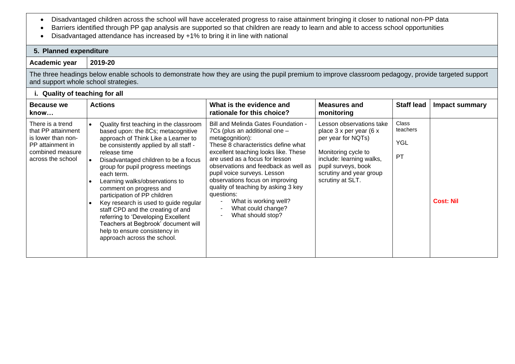- Disadvantaged children across the school will have accelerated progress to raise attainment bringing it closer to national non-PP data
- Barriers identified through PP gap analysis are supported so that children are ready to learn and able to access school opportunities
- Disadvantaged attendance has increased by +1% to bring it in line with national

#### **5. Planned expenditure**

### **Academic year 2019-20**

The three headings below enable schools to demonstrate how they are using the pupil premium to improve classroom pedagogy, provide targeted support and support whole school strategies.

| <b>Because we</b><br>know                                                                                                 | <b>Actions</b>                                                                                                                                                                                                                                                                                                                                                                                                                                                                                                                                                                                    | What is the evidence and<br>rationale for this choice?                                                                                                                                                                                                                                                                                                                                                                                      | <b>Measures and</b><br>monitoring                                                                                                                                                                  | <b>Staff lead</b>                                   | <b>Impact summary</b> |
|---------------------------------------------------------------------------------------------------------------------------|---------------------------------------------------------------------------------------------------------------------------------------------------------------------------------------------------------------------------------------------------------------------------------------------------------------------------------------------------------------------------------------------------------------------------------------------------------------------------------------------------------------------------------------------------------------------------------------------------|---------------------------------------------------------------------------------------------------------------------------------------------------------------------------------------------------------------------------------------------------------------------------------------------------------------------------------------------------------------------------------------------------------------------------------------------|----------------------------------------------------------------------------------------------------------------------------------------------------------------------------------------------------|-----------------------------------------------------|-----------------------|
| There is a trend<br>that PP attainment<br>is lower than non-<br>PP attainment in<br>combined measure<br>across the school | Quality first teaching in the classroom<br>based upon: the 8Cs; metacognitive<br>approach of Think Like a Learner to<br>be consistently applied by all staff -<br>release time<br>Disadvantaged children to be a focus<br>group for pupil progress meetings<br>each term.<br>Learning walks/observations to<br>comment on progress and<br>participation of PP children<br>Key research is used to guide regular<br>staff CPD and the creating of and<br>referring to 'Developing Excellent<br>Teachers at Begbrook' document will<br>help to ensure consistency in<br>approach across the school. | Bill and Melinda Gates Foundation -<br>7Cs (plus an additional one -<br>metacognition):<br>These 8 characteristics define what<br>excellent teaching looks like. These<br>are used as a focus for lesson<br>observations and feedback as well as<br>pupil voice surveys. Lesson<br>observations focus on improving<br>quality of teaching by asking 3 key<br>questions:<br>What is working well?<br>What could change?<br>What should stop? | Lesson observations take<br>place 3 x per year (6 x<br>per year for NQTs)<br>Monitoring cycle to<br>include: learning walks,<br>pupil surveys, book<br>scrutiny and year group<br>scrutiny at SLT. | <b>Class</b><br>teachers<br><b>YGL</b><br><b>PT</b> | <b>Cost: Nil</b>      |

## **i. Quality of teaching for all**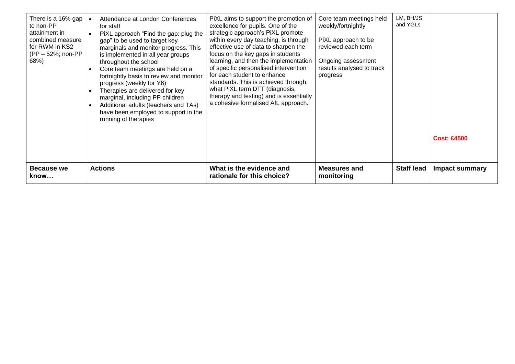| There is a 16% gap<br>to non-PP<br>attainment in<br>combined measure<br>for RWM in KS2<br>(PP - 52%; non-PP<br>68%) | Attendance at London Conferences<br>for staff<br>PiXL approach "Find the gap: plug the<br>$\bullet$<br>gap" to be used to target key<br>marginals and monitor progress. This<br>is implemented in all year groups<br>throughout the school<br>Core team meetings are held on a<br>fortnightly basis to review and monitor<br>progress (weekly for Y6)<br>Therapies are delivered for key<br>marginal, including PP children<br>Additional adults (teachers and TAs)<br>have been employed to support in the<br>running of therapies | PiXL aims to support the promotion of<br>excellence for pupils. One of the<br>strategic approach's PiXL promote<br>within every day teaching, is through<br>effective use of data to sharpen the<br>focus on the key gaps in students<br>learning, and then the implementation<br>of specific personalised intervention<br>for each student to enhance<br>standards. This is achieved through,<br>what PiXL term DTT (diagnosis,<br>therapy and testing) and is essentially<br>a cohesive formalised AfL approach. | Core team meetings held<br>weekly/fortnightly<br>PiXL approach to be<br>reviewed each term<br>Ongoing assessment<br>results analysed to track<br>progress | LM, BH/JS<br>and YGLs | <b>Cost: £4500</b>    |
|---------------------------------------------------------------------------------------------------------------------|-------------------------------------------------------------------------------------------------------------------------------------------------------------------------------------------------------------------------------------------------------------------------------------------------------------------------------------------------------------------------------------------------------------------------------------------------------------------------------------------------------------------------------------|--------------------------------------------------------------------------------------------------------------------------------------------------------------------------------------------------------------------------------------------------------------------------------------------------------------------------------------------------------------------------------------------------------------------------------------------------------------------------------------------------------------------|-----------------------------------------------------------------------------------------------------------------------------------------------------------|-----------------------|-----------------------|
| Because we<br>know…                                                                                                 | <b>Actions</b>                                                                                                                                                                                                                                                                                                                                                                                                                                                                                                                      | What is the evidence and<br>rationale for this choice?                                                                                                                                                                                                                                                                                                                                                                                                                                                             | <b>Measures and</b><br>monitoring                                                                                                                         | <b>Staff lead</b>     | <b>Impact summary</b> |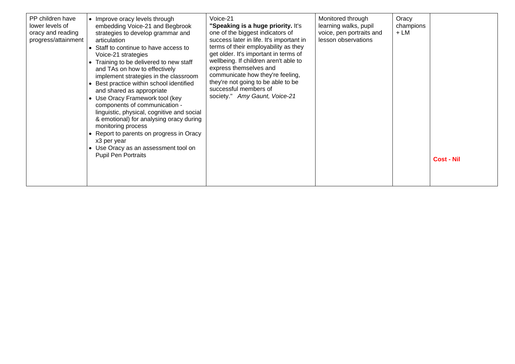| PP children have<br>lower levels of<br>oracy and reading<br>progress/attainment | • Improve oracy levels through<br>embedding Voice-21 and Begbrook<br>strategies to develop grammar and<br>articulation<br>• Staff to continue to have access to<br>Voice-21 strategies<br>• Training to be delivered to new staff<br>and TAs on how to effectively<br>implement strategies in the classroom<br>• Best practice within school identified<br>and shared as appropriate<br>• Use Oracy Framework tool (key<br>components of communication -<br>linguistic, physical, cognitive and social<br>& emotional) for analysing oracy during<br>monitoring process<br>• Report to parents on progress in Oracy<br>x3 per year<br>• Use Oracy as an assessment tool on<br>Pupil Pen Portraits | Voice-21<br>"Speaking is a huge priority. It's<br>one of the biggest indicators of<br>success later in life. It's important in<br>terms of their employability as they<br>get older. It's important in terms of<br>wellbeing. If children aren't able to<br>express themselves and<br>communicate how they're feeling,<br>they're not going to be able to be<br>successful members of<br>society." Amy Gaunt, Voice-21 | Monitored through<br>learning walks, pupil<br>voice, pen portraits and<br>lesson observations | Oracy<br>champions<br>$+LM$ | <b>Cost - Nil</b> |
|---------------------------------------------------------------------------------|---------------------------------------------------------------------------------------------------------------------------------------------------------------------------------------------------------------------------------------------------------------------------------------------------------------------------------------------------------------------------------------------------------------------------------------------------------------------------------------------------------------------------------------------------------------------------------------------------------------------------------------------------------------------------------------------------|------------------------------------------------------------------------------------------------------------------------------------------------------------------------------------------------------------------------------------------------------------------------------------------------------------------------------------------------------------------------------------------------------------------------|-----------------------------------------------------------------------------------------------|-----------------------------|-------------------|
|---------------------------------------------------------------------------------|---------------------------------------------------------------------------------------------------------------------------------------------------------------------------------------------------------------------------------------------------------------------------------------------------------------------------------------------------------------------------------------------------------------------------------------------------------------------------------------------------------------------------------------------------------------------------------------------------------------------------------------------------------------------------------------------------|------------------------------------------------------------------------------------------------------------------------------------------------------------------------------------------------------------------------------------------------------------------------------------------------------------------------------------------------------------------------------------------------------------------------|-----------------------------------------------------------------------------------------------|-----------------------------|-------------------|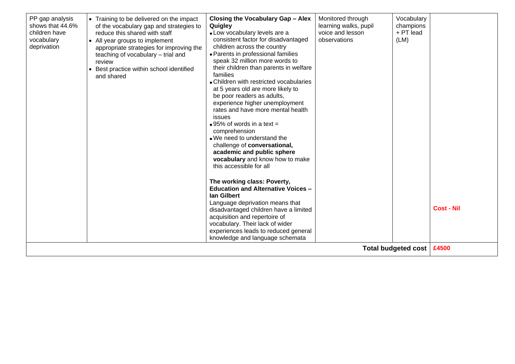| £4500<br><b>Total budgeted cost</b> | PP gap analysis<br>Closing the Vocabulary Gap - Alex<br>• Training to be delivered on the impact<br>shows that 44.6%<br>of the vocabulary gap and strategies to<br>children have<br>reduce this shared with staff<br>vocabulary<br>• All year groups to implement<br>deprivation<br>appropriate strategies for improving the<br>teaching of vocabulary - trial and<br>review<br>• Best practice within school identified<br>and shared | Quigley<br>• Low vocabulary levels are a<br>consistent factor for disadvantaged<br>children across the country<br>• Parents in professional families<br>speak 32 million more words to<br>their children than parents in welfare<br>families<br>• Children with restricted vocabularies<br>at 5 years old are more likely to<br>be poor readers as adults,<br>experience higher unemployment<br>rates and have more mental health<br>issues<br>$\bullet$ 95% of words in a text =<br>comprehension<br>. We need to understand the<br>challenge of conversational,<br>academic and public sphere<br>vocabulary and know how to make<br>this accessible for all<br>The working class: Poverty,<br><b>Education and Alternative Voices -</b><br>lan Gilbert<br>Language deprivation means that<br>disadvantaged children have a limited<br>acquisition and repertoire of<br>vocabulary. Their lack of wider<br>experiences leads to reduced general<br>knowledge and language schemata | learning walks, pupil<br>voice and lesson<br>observations | champions<br>+ PT lead<br>(LM) | <b>Cost - Nil</b> |
|-------------------------------------|----------------------------------------------------------------------------------------------------------------------------------------------------------------------------------------------------------------------------------------------------------------------------------------------------------------------------------------------------------------------------------------------------------------------------------------|-------------------------------------------------------------------------------------------------------------------------------------------------------------------------------------------------------------------------------------------------------------------------------------------------------------------------------------------------------------------------------------------------------------------------------------------------------------------------------------------------------------------------------------------------------------------------------------------------------------------------------------------------------------------------------------------------------------------------------------------------------------------------------------------------------------------------------------------------------------------------------------------------------------------------------------------------------------------------------------|-----------------------------------------------------------|--------------------------------|-------------------|
|-------------------------------------|----------------------------------------------------------------------------------------------------------------------------------------------------------------------------------------------------------------------------------------------------------------------------------------------------------------------------------------------------------------------------------------------------------------------------------------|-------------------------------------------------------------------------------------------------------------------------------------------------------------------------------------------------------------------------------------------------------------------------------------------------------------------------------------------------------------------------------------------------------------------------------------------------------------------------------------------------------------------------------------------------------------------------------------------------------------------------------------------------------------------------------------------------------------------------------------------------------------------------------------------------------------------------------------------------------------------------------------------------------------------------------------------------------------------------------------|-----------------------------------------------------------|--------------------------------|-------------------|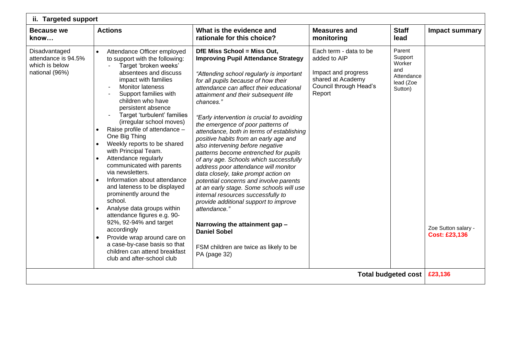| <b>Because we</b><br>know<br>Disadvantaged              | <b>Actions</b><br>Attendance Officer employed<br>$\bullet$<br>to support with the following:<br>Target 'broken weeks'                                                                                                                                                                                                                                                                                                                                                                                                                                                                                                                                                                                                                           | What is the evidence and<br>rationale for this choice?<br>DfE Miss School = Miss Out,                                                                                                                                                                                                                                                                                                                                                                                                                                                                                                                                                                                                                                                                                                                                                                                                                                | <b>Measures and</b><br>monitoring<br>Each term - data to be                                  | <b>Staff</b><br>lead                                                     | <b>Impact summary</b>                       |
|---------------------------------------------------------|-------------------------------------------------------------------------------------------------------------------------------------------------------------------------------------------------------------------------------------------------------------------------------------------------------------------------------------------------------------------------------------------------------------------------------------------------------------------------------------------------------------------------------------------------------------------------------------------------------------------------------------------------------------------------------------------------------------------------------------------------|----------------------------------------------------------------------------------------------------------------------------------------------------------------------------------------------------------------------------------------------------------------------------------------------------------------------------------------------------------------------------------------------------------------------------------------------------------------------------------------------------------------------------------------------------------------------------------------------------------------------------------------------------------------------------------------------------------------------------------------------------------------------------------------------------------------------------------------------------------------------------------------------------------------------|----------------------------------------------------------------------------------------------|--------------------------------------------------------------------------|---------------------------------------------|
|                                                         |                                                                                                                                                                                                                                                                                                                                                                                                                                                                                                                                                                                                                                                                                                                                                 |                                                                                                                                                                                                                                                                                                                                                                                                                                                                                                                                                                                                                                                                                                                                                                                                                                                                                                                      |                                                                                              |                                                                          |                                             |
| attendance is 94.5%<br>which is below<br>national (96%) | absentees and discuss<br>impact with families<br><b>Monitor lateness</b><br>Support families with<br>children who have<br>persistent absence<br>Target 'turbulent' families<br>(irregular school moves)<br>Raise profile of attendance -<br>$\bullet$<br>One Big Thing<br>Weekly reports to be shared<br>with Principal Team.<br>Attendance regularly<br>communicated with parents<br>via newsletters.<br>Information about attendance<br>and lateness to be displayed<br>prominently around the<br>school.<br>Analyse data groups within<br>attendance figures e.g. 90-<br>92%, 92-94% and target<br>accordingly<br>Provide wrap around care on<br>a case-by-case basis so that<br>children can attend breakfast<br>club and after-school club | <b>Improving Pupil Attendance Strategy</b><br>"Attending school regularly is important<br>for all pupils because of how their<br>attendance can affect their educational<br>attainment and their subsequent life<br>chances."<br>"Early intervention is crucial to avoiding<br>the emergence of poor patterns of<br>attendance, both in terms of establishing<br>positive habits from an early age and<br>also intervening before negative<br>patterns become entrenched for pupils<br>of any age. Schools which successfully<br>address poor attendance will monitor<br>data closely, take prompt action on<br>potential concerns and involve parents<br>at an early stage. Some schools will use<br>internal resources successfully to<br>provide additional support to improve<br>attendance."<br>Narrowing the attainment gap -<br><b>Daniel Sobel</b><br>FSM children are twice as likely to be<br>PA (page 32) | added to AIP<br>Impact and progress<br>shared at Academy<br>Council through Head's<br>Report | Parent<br>Support<br>Worker<br>and<br>Attendance<br>lead (Zoe<br>Sutton) | Zoe Sutton salary -<br><b>Cost: £23,136</b> |
|                                                         |                                                                                                                                                                                                                                                                                                                                                                                                                                                                                                                                                                                                                                                                                                                                                 |                                                                                                                                                                                                                                                                                                                                                                                                                                                                                                                                                                                                                                                                                                                                                                                                                                                                                                                      |                                                                                              | <b>Total budgeted cost</b>                                               | £23,136                                     |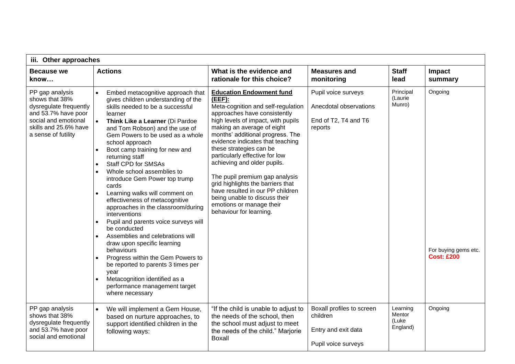| iii. Other approaches                                                                                                                                      |                                                                                                                                                                                                                                                                                                                                                                                                                                                                                                                                                                                                                                                                                                                                                                                                                                                                                                                                                       |                                                                                                                                                                                                                                                                                                                                                                                                                                                                                                                                                               |                                                                                     |                                         |                                                      |  |  |
|------------------------------------------------------------------------------------------------------------------------------------------------------------|-------------------------------------------------------------------------------------------------------------------------------------------------------------------------------------------------------------------------------------------------------------------------------------------------------------------------------------------------------------------------------------------------------------------------------------------------------------------------------------------------------------------------------------------------------------------------------------------------------------------------------------------------------------------------------------------------------------------------------------------------------------------------------------------------------------------------------------------------------------------------------------------------------------------------------------------------------|---------------------------------------------------------------------------------------------------------------------------------------------------------------------------------------------------------------------------------------------------------------------------------------------------------------------------------------------------------------------------------------------------------------------------------------------------------------------------------------------------------------------------------------------------------------|-------------------------------------------------------------------------------------|-----------------------------------------|------------------------------------------------------|--|--|
| <b>Because we</b><br>know                                                                                                                                  | <b>Actions</b>                                                                                                                                                                                                                                                                                                                                                                                                                                                                                                                                                                                                                                                                                                                                                                                                                                                                                                                                        | What is the evidence and<br>rationale for this choice?                                                                                                                                                                                                                                                                                                                                                                                                                                                                                                        | <b>Measures and</b><br>monitoring                                                   | <b>Staff</b><br>lead                    | Impact<br>summary                                    |  |  |
| PP gap analysis<br>shows that 38%<br>dysregulate frequently<br>and 53.7% have poor<br>social and emotional<br>skills and 25.6% have<br>a sense of futility | $\bullet$<br>Embed metacognitive approach that<br>gives children understanding of the<br>skills needed to be a successful<br>learner<br>Think Like a Learner (Di Pardoe<br>and Tom Robson) and the use of<br>Gem Powers to be used as a whole<br>school approach<br>Boot camp training for new and<br>$\bullet$<br>returning staff<br><b>Staff CPD for SMSAs</b><br>$\bullet$<br>Whole school assemblies to<br>$\bullet$<br>introduce Gem Power top trump<br>cards<br>Learning walks will comment on<br>$\bullet$<br>effectiveness of metacognitive<br>approaches in the classroom/during<br>interventions<br>Pupil and parents voice surveys will<br>$\bullet$<br>be conducted<br>Assemblies and celebrations will<br>$\bullet$<br>draw upon specific learning<br>behaviours<br>Progress within the Gem Powers to<br>be reported to parents 3 times per<br>year<br>Metacognition identified as a<br>performance management target<br>where necessary | <b>Education Endowment fund</b><br>$(EEF)$ :<br>Meta-cognition and self-regulation<br>approaches have consistently<br>high levels of impact, with pupils<br>making an average of eight<br>months' additional progress. The<br>evidence indicates that teaching<br>these strategies can be<br>particularly effective for low<br>achieving and older pupils.<br>The pupil premium gap analysis<br>grid highlights the barriers that<br>have resulted in our PP children<br>being unable to discuss their<br>emotions or manage their<br>behaviour for learning. | Pupil voice surveys<br>Anecdotal observations<br>End of T2, T4 and T6<br>reports    | Principal<br>(Laurie<br>Munro)          | Ongoing<br>For buying gems etc.<br><b>Cost: £200</b> |  |  |
| PP gap analysis<br>shows that 38%<br>dysregulate frequently<br>and 53.7% have poor<br>social and emotional                                                 | We will implement a Gem House,<br>$\bullet$<br>based on nurture approaches, to<br>support identified children in the<br>following ways:                                                                                                                                                                                                                                                                                                                                                                                                                                                                                                                                                                                                                                                                                                                                                                                                               | "If the child is unable to adjust to<br>the needs of the school, then<br>the school must adjust to meet<br>the needs of the child." Marjorie<br><b>Boxall</b>                                                                                                                                                                                                                                                                                                                                                                                                 | Boxall profiles to screen<br>children<br>Entry and exit data<br>Pupil voice surveys | Learning<br>Mentor<br>(Luke<br>England) | Ongoing                                              |  |  |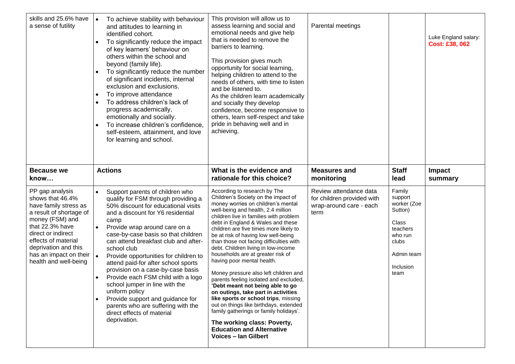| skills and 25.6% have<br>a sense of futility                                                                                                                                                                                                                                | To achieve stability with behaviour<br>and attitudes to learning in<br>identified cohort.<br>To significantly reduce the impact<br>of key learners' behaviour on<br>others within the school and<br>beyond (family life).<br>To significantly reduce the number<br>of significant incidents, internal<br>exclusion and exclusions.<br>To improve attendance<br>To address children's lack of<br>progress academically,<br>emotionally and socially.<br>To increase children's confidence,<br>self-esteem, attainment, and love<br>for learning and school.                                                                       | This provision will allow us to<br>assess learning and social and<br>emotional needs and give help<br>that is needed to remove the<br>barriers to learning.<br>This provision gives much<br>opportunity for social learning,<br>helping children to attend to the<br>needs of others, with time to listen<br>and be listened to.<br>As the children learn academically<br>and socially they develop<br>confidence, become responsive to<br>others, learn self-respect and take<br>pride in behaving well and in<br>achieving.                                                                                                                                                                                                                                                                                                                                    | Parental meetings                                                                       |                                                                                                                         | Luke England salary:<br><b>Cost: £38, 062</b> |
|-----------------------------------------------------------------------------------------------------------------------------------------------------------------------------------------------------------------------------------------------------------------------------|----------------------------------------------------------------------------------------------------------------------------------------------------------------------------------------------------------------------------------------------------------------------------------------------------------------------------------------------------------------------------------------------------------------------------------------------------------------------------------------------------------------------------------------------------------------------------------------------------------------------------------|------------------------------------------------------------------------------------------------------------------------------------------------------------------------------------------------------------------------------------------------------------------------------------------------------------------------------------------------------------------------------------------------------------------------------------------------------------------------------------------------------------------------------------------------------------------------------------------------------------------------------------------------------------------------------------------------------------------------------------------------------------------------------------------------------------------------------------------------------------------|-----------------------------------------------------------------------------------------|-------------------------------------------------------------------------------------------------------------------------|-----------------------------------------------|
| <b>Because we</b><br>know                                                                                                                                                                                                                                                   | <b>Actions</b>                                                                                                                                                                                                                                                                                                                                                                                                                                                                                                                                                                                                                   | What is the evidence and<br>rationale for this choice?                                                                                                                                                                                                                                                                                                                                                                                                                                                                                                                                                                                                                                                                                                                                                                                                           | <b>Measures and</b><br>monitoring                                                       | <b>Staff</b><br>lead                                                                                                    | Impact<br>summary                             |
| PP gap analysis<br>shows that 46.4%<br>have family stress as<br>a result of shortage of<br>money (FSM) and<br>that 22.3% have<br>direct or indirect<br>effects of material<br>deprivation and this<br>has an impact on their $\vert \bullet \vert$<br>health and well-being | Support parents of children who<br>qualify for FSM through providing a<br>50% discount for educational visits<br>and a discount for Y6 residential<br>camp<br>Provide wrap around care on a<br>case-by-case basis so that children<br>can attend breakfast club and after-<br>school club<br>Provide opportunities for children to<br>attend paid-for after school sports<br>provision on a case-by-case basis<br>Provide each FSM child with a logo<br>school jumper in line with the<br>uniform policy<br>Provide support and guidance for<br>parents who are suffering with the<br>direct effects of material<br>deprivation. | According to research by The<br>Children's Society on the impact of<br>money worries on children's mental<br>well-being and health, 2.4 million<br>children live in families with problem<br>debt in England & Wales and these<br>children are five times more likely to<br>be at risk of having low well-being<br>than those not facing difficulties with<br>debt. Children living in low-income<br>households are at greater risk of<br>having poor mental health.<br>Money pressure also left children and<br>parents feeling isolated and excluded,<br>'Debt meant not being able to go<br>on outings, take part in activities<br>like sports or school trips, missing<br>out on things like birthdays, extended<br>family gatherings or family holidays'.<br>The working class: Poverty,<br><b>Education and Alternative</b><br><b>Voices - Ian Gilbert</b> | Review attendance data<br>for children provided with<br>wrap-around care - each<br>term | Family<br>support<br>worker (Zoe<br>Sutton)<br>Class<br>teachers<br>who run<br>clubs<br>Admin team<br>Inclusion<br>team |                                               |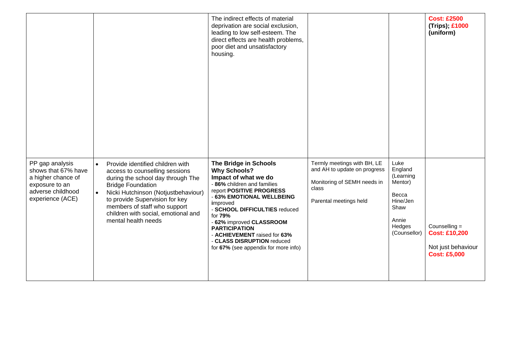|                                                                                                                         |                        |                                                                                                                                                                                                                                                                                                            | The indirect effects of material<br>deprivation are social exclusion,<br>leading to low self-esteem. The<br>direct effects are health problems,<br>poor diet and unsatisfactory<br>housing.                                                                                                                                                                                    |                                                                                                                               |                                                                                                         | <b>Cost: £2500</b><br>(Trips), £1000<br>(uniform)                                    |
|-------------------------------------------------------------------------------------------------------------------------|------------------------|------------------------------------------------------------------------------------------------------------------------------------------------------------------------------------------------------------------------------------------------------------------------------------------------------------|--------------------------------------------------------------------------------------------------------------------------------------------------------------------------------------------------------------------------------------------------------------------------------------------------------------------------------------------------------------------------------|-------------------------------------------------------------------------------------------------------------------------------|---------------------------------------------------------------------------------------------------------|--------------------------------------------------------------------------------------|
| PP gap analysis<br>shows that 67% have<br>a higher chance of<br>exposure to an<br>adverse childhood<br>experience (ACE) | $\bullet$<br>$\bullet$ | Provide identified children with<br>access to counselling sessions<br>during the school day through The<br><b>Bridge Foundation</b><br>Nicki Hutchinson (Notjustbehaviour)<br>to provide Supervision for key<br>members of staff who support<br>children with social, emotional and<br>mental health needs | The Bridge in Schools<br><b>Why Schools?</b><br>Impact of what we do<br>- 86% children and families<br>report POSITIVE PROGRESS<br>- 63% EMOTIONAL WELLBEING<br>improved<br>- SCHOOL DIFFICULTIES reduced<br>for 79%<br>- 62% improved CLASSROOM<br><b>PARTICIPATION</b><br>- ACHIEVEMENT raised for 63%<br>- CLASS DISRUPTION reduced<br>for 67% (see appendix for more info) | Termly meetings with BH, LE<br>and AH to update on progress<br>Monitoring of SEMH needs in<br>class<br>Parental meetings held | Luke<br>England<br>(Learning<br>Mentor)<br>Becca<br>Hine/Jen<br>Shaw<br>Annie<br>Hedges<br>(Counsellor) | Counselling $=$<br><b>Cost: £10,200</b><br>Not just behaviour<br><b>Cost: £5,000</b> |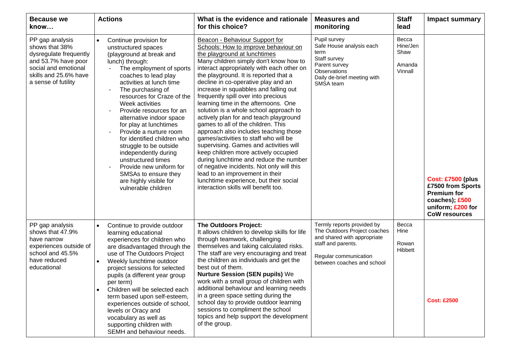| <b>Because we</b><br>know                                                                                                                                  | <b>Actions</b>                                                                                                                                                                                                                                                                                                                                                                                                                                                                                                                                                            | What is the evidence and rationale<br>for this choice?                                                                                                                                                                                                                                                                                                                                                                                                                                                                                                                                                                                                                                                                                                                                                                                                                                                          | <b>Measures and</b><br>monitoring                                                                                                                                      | <b>Staff</b><br>lead                           | <b>Impact summary</b>                                                                                                              |
|------------------------------------------------------------------------------------------------------------------------------------------------------------|---------------------------------------------------------------------------------------------------------------------------------------------------------------------------------------------------------------------------------------------------------------------------------------------------------------------------------------------------------------------------------------------------------------------------------------------------------------------------------------------------------------------------------------------------------------------------|-----------------------------------------------------------------------------------------------------------------------------------------------------------------------------------------------------------------------------------------------------------------------------------------------------------------------------------------------------------------------------------------------------------------------------------------------------------------------------------------------------------------------------------------------------------------------------------------------------------------------------------------------------------------------------------------------------------------------------------------------------------------------------------------------------------------------------------------------------------------------------------------------------------------|------------------------------------------------------------------------------------------------------------------------------------------------------------------------|------------------------------------------------|------------------------------------------------------------------------------------------------------------------------------------|
| PP gap analysis<br>shows that 38%<br>dysregulate frequently<br>and 53.7% have poor<br>social and emotional<br>skills and 25.6% have<br>a sense of futility | Continue provision for<br>unstructured spaces<br>(playground at break and<br>lunch) through:<br>The employment of sports<br>coaches to lead play<br>activities at lunch time<br>The purchasing of<br>resources for Craze of the<br>Week activities<br>Provide resources for an<br>alternative indoor space<br>for play at lunchtimes<br>Provide a nurture room<br>for identified children who<br>struggle to be outside<br>independently during<br>unstructured times<br>Provide new uniform for<br>SMSAs to ensure they<br>are highly visible for<br>vulnerable children | Beacon - Behaviour Support for<br>Schools: How to improve behaviour on<br>the playground at lunchtimes<br>Many children simply don't know how to<br>interact appropriately with each other on<br>the playground. It is reported that a<br>decline in co-operative play and an<br>increase in squabbles and falling out<br>frequently spill over into precious<br>learning time in the afternoons. One<br>solution is a whole school approach to<br>actively plan for and teach playground<br>games to all of the children. This<br>approach also includes teaching those<br>games/activities to staff who will be<br>supervising. Games and activities will<br>keep children more actively occupied<br>during lunchtime and reduce the number<br>of negative incidents. Not only will this<br>lead to an improvement in their<br>lunchtime experience, but their social<br>interaction skills will benefit too. | Pupil survey<br>Safe House analysis each<br>term<br>Staff survey<br>Parent survey<br><b>Observations</b><br>Daily de-brief meeting with<br>SMSA team                   | Becca<br>Hine/Jen<br>Shaw<br>Amanda<br>Vinnall | <b>Cost: £7500 (plus</b><br>£7500 from Sports<br><b>Premium for</b><br>coaches); £500<br>uniform; £200 for<br><b>CoW resources</b> |
| PP gap analysis<br>shows that 47.9%<br>have narrow<br>experiences outside of<br>school and 45.5%<br>have reduced<br>educational                            | Continue to provide outdoor<br>learning educational<br>experiences for children who<br>are disadvantaged through the<br>use of The Outdoors Project<br>Weekly lunchtime outdoor<br>project sessions for selected<br>pupils (a different year group<br>per term)<br>Children will be selected each<br>term based upon self-esteem,<br>experiences outside of school,<br>levels or Oracy and<br>vocabulary as well as<br>supporting children with<br>SEMH and behaviour needs.                                                                                              | <b>The Outdoors Project:</b><br>It allows children to develop skills for life<br>through teamwork, challenging<br>themselves and taking calculated risks.<br>The staff are very encouraging and treat<br>the children as individuals and get the<br>best out of them.<br><b>Nurture Session (SEN pupils) We</b><br>work with a small group of children with<br>additional behaviour and learning needs<br>in a green space setting during the<br>school day to provide outdoor learning<br>sessions to compliment the school<br>topics and help support the development<br>of the group.                                                                                                                                                                                                                                                                                                                        | Termly reports provided by<br>The Outdoors Project coaches<br>and shared with appropriate<br>staff and parents.<br>Regular communication<br>between coaches and school | Becca<br>Hine<br>Rowan<br><b>Hibbett</b>       | <b>Cost: £2500</b>                                                                                                                 |